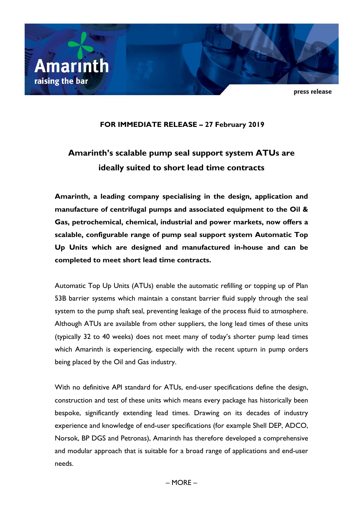

press release

# **FOR IMMEDIATE RELEASE – 27 February 2019**

# **Amarinth's scalable pump seal support system ATUs are ideally suited to short lead time contracts**

**Amarinth, a leading company specialising in the design, application and manufacture of centrifugal pumps and associated equipment to the Oil & Gas, petrochemical, chemical, industrial and power markets, now offers a scalable, configurable range of pump seal support system Automatic Top Up Units which are designed and manufactured in-house and can be completed to meet short lead time contracts.**

Automatic Top Up Units (ATUs) enable the automatic refilling or topping up of Plan 53B barrier systems which maintain a constant barrier fluid supply through the seal system to the pump shaft seal, preventing leakage of the process fluid to atmosphere. Although ATUs are available from other suppliers, the long lead times of these units (typically 32 to 40 weeks) does not meet many of today's shorter pump lead times which Amarinth is experiencing, especially with the recent upturn in pump orders being placed by the Oil and Gas industry.

With no definitive API standard for ATUs, end-user specifications define the design, construction and test of these units which means every package has historically been bespoke, significantly extending lead times. Drawing on its decades of industry experience and knowledge of end-user specifications (for example Shell DEP, ADCO, Norsok, BP DGS and Petronas), Amarinth has therefore developed a comprehensive and modular approach that is suitable for a broad range of applications and end-user needs.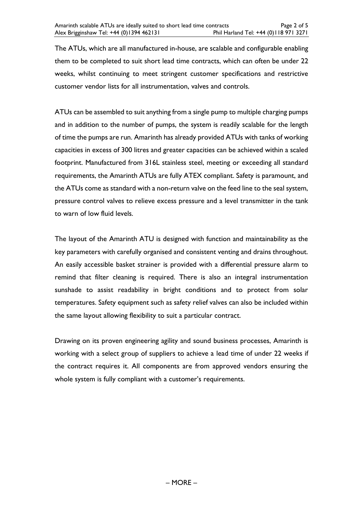The ATUs, which are all manufactured in-house, are scalable and configurable enabling them to be completed to suit short lead time contracts, which can often be under 22 weeks, whilst continuing to meet stringent customer specifications and restrictive customer vendor lists for all instrumentation, valves and controls.

ATUs can be assembled to suit anything from a single pump to multiple charging pumps and in addition to the number of pumps, the system is readily scalable for the length of time the pumps are run. Amarinth has already provided ATUs with tanks of working capacities in excess of 300 litres and greater capacities can be achieved within a scaled footprint. Manufactured from 316L stainless steel, meeting or exceeding all standard requirements, the Amarinth ATUs are fully ATEX compliant. Safety is paramount, and the ATUs come as standard with a non-return valve on the feed line to the seal system, pressure control valves to relieve excess pressure and a level transmitter in the tank to warn of low fluid levels.

The layout of the Amarinth ATU is designed with function and maintainability as the key parameters with carefully organised and consistent venting and drains throughout. An easily accessible basket strainer is provided with a differential pressure alarm to remind that filter cleaning is required. There is also an integral instrumentation sunshade to assist readability in bright conditions and to protect from solar temperatures. Safety equipment such as safety relief valves can also be included within the same layout allowing flexibility to suit a particular contract.

Drawing on its proven engineering agility and sound business processes, Amarinth is working with a select group of suppliers to achieve a lead time of under 22 weeks if the contract requires it. All components are from approved vendors ensuring the whole system is fully compliant with a customer's requirements.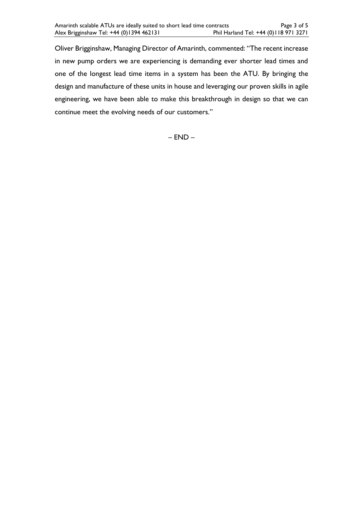Oliver Brigginshaw, Managing Director of Amarinth, commented: "The recent increase in new pump orders we are experiencing is demanding ever shorter lead times and one of the longest lead time items in a system has been the ATU. By bringing the design and manufacture of these units in house and leveraging our proven skills in agile engineering, we have been able to make this breakthrough in design so that we can continue meet the evolving needs of our customers."

– END –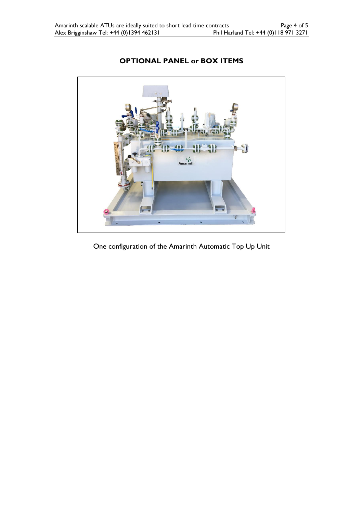

# **OPTIONAL PANEL or BOX ITEMS**

One configuration of the Amarinth Automatic Top Up Unit